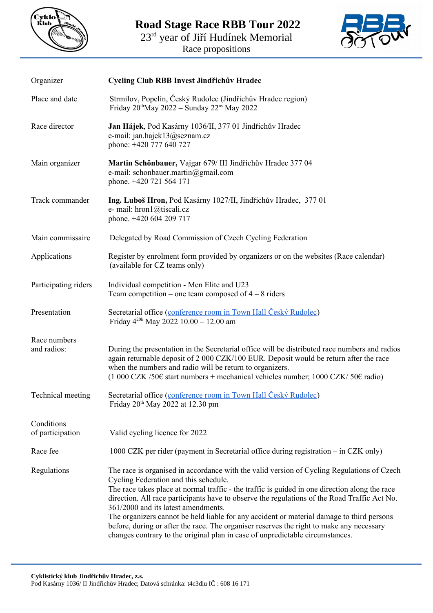

**Road Stage Race RBB Tour 2022**

23<sup>rd</sup> year of Jiří Hudínek Memorial

Race propositions



| Organizer                      | Cycling Club RBB Invest Jindřichův Hradec                                                                                                                                                                                                                                                                                                                                                                                                                                                                                                                                                                                                              |
|--------------------------------|--------------------------------------------------------------------------------------------------------------------------------------------------------------------------------------------------------------------------------------------------------------------------------------------------------------------------------------------------------------------------------------------------------------------------------------------------------------------------------------------------------------------------------------------------------------------------------------------------------------------------------------------------------|
| Place and date                 | Strmilov, Popelín, Český Rudolec (Jindřichův Hradec region)<br>Friday $20^{\text{th}}$ May $2022$ – Sunday $22^{\text{ns}}$ May $2022$                                                                                                                                                                                                                                                                                                                                                                                                                                                                                                                 |
| Race director                  | Jan Hájek, Pod Kasárny 1036/II, 377 01 Jindřichův Hradec<br>e-mail: jan.hajek13@seznam.cz<br>phone: +420 777 640 727                                                                                                                                                                                                                                                                                                                                                                                                                                                                                                                                   |
| Main organizer                 | Martin Schönbauer, Vajgar 679/ III Jindřichův Hradec 377 04<br>e-mail: schonbauer.martin@gmail.com<br>phone. +420 721 564 171                                                                                                                                                                                                                                                                                                                                                                                                                                                                                                                          |
| Track commander                | Ing. Luboš Hron, Pod Kasárny 1027/II, Jindřichův Hradec, 377 01<br>e- mail: hron1@tiscali.cz<br>phone. +420 604 209 717                                                                                                                                                                                                                                                                                                                                                                                                                                                                                                                                |
| Main commissaire               | Delegated by Road Commission of Czech Cycling Federation                                                                                                                                                                                                                                                                                                                                                                                                                                                                                                                                                                                               |
| Applications                   | Register by enrolment form provided by organizers or on the websites (Race calendar)<br>(available for CZ teams only)                                                                                                                                                                                                                                                                                                                                                                                                                                                                                                                                  |
| Participating riders           | Individual competition - Men Elite and U23<br>Team competition – one team composed of $4 - 8$ riders                                                                                                                                                                                                                                                                                                                                                                                                                                                                                                                                                   |
| Presentation                   | Secretarial office (conference room in Town Hall Český Rudolec)<br>Friday $4^{20h}$ May 2022 10.00 - 12.00 am                                                                                                                                                                                                                                                                                                                                                                                                                                                                                                                                          |
| Race numbers<br>and radios:    | During the presentation in the Secretarial office will be distributed race numbers and radios<br>again returnable deposit of 2 000 CZK/100 EUR. Deposit would be return after the race<br>when the numbers and radio will be return to organizers.<br>$(1\ 000\ CZK/50\epsilon)$ start numbers + mechanical vehicles number; 1000 CZK/50 $\epsilon$ radio)                                                                                                                                                                                                                                                                                             |
| Technical meeting              | Secretarial office (conference room in Town Hall Český Rudolec)<br>Friday 20 <sup>th</sup> May 2022 at 12.30 pm                                                                                                                                                                                                                                                                                                                                                                                                                                                                                                                                        |
| Conditions<br>of participation | Valid cycling licence for 2022                                                                                                                                                                                                                                                                                                                                                                                                                                                                                                                                                                                                                         |
| Race fee                       | 1000 CZK per rider (payment in Secretarial office during registration – in CZK only)                                                                                                                                                                                                                                                                                                                                                                                                                                                                                                                                                                   |
| Regulations                    | The race is organised in accordance with the valid version of Cycling Regulations of Czech<br>Cycling Federation and this schedule.<br>The race takes place at normal traffic - the traffic is guided in one direction along the race<br>direction. All race participants have to observe the regulations of the Road Traffic Act No.<br>361/2000 and its latest amendments.<br>The organizers cannot be held liable for any accident or material damage to third persons<br>before, during or after the race. The organiser reserves the right to make any necessary<br>changes contrary to the original plan in case of unpredictable circumstances. |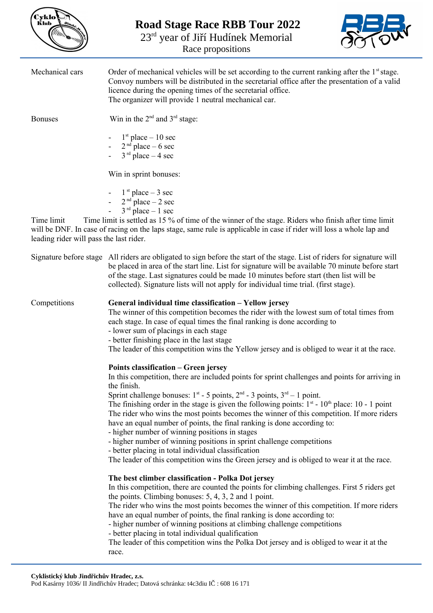| Cyklo<br>Klub |  |
|---------------|--|
|               |  |
|               |  |

**Road Stage Race RBB Tour 2022** 23<sup>rd</sup> year of Jiří Hudínek Memorial

Race propositions



Mechanical cars Order of mechanical vehicles will be set according to the current ranking after the  $1<sup>st</sup>$  stage. Convoy numbers will be distributed in the secretarial office after the presentation of a valid licence during the opening times of the secretarial office. The organizer will provide 1 neutral mechanical car. Bonuses Win in the  $2<sup>nd</sup>$  and  $3<sup>rd</sup>$  stage:  $-1$ <sup>st</sup> place  $-10$  sec  $-2<sup>nd</sup>$  place  $-6$  sec  $-3$ <sup>rd</sup> place  $-4$  sec Win in sprint bonuses:  $-1$ <sup>st</sup> place  $-3$  sec  $-2^{nd}$  place  $-2$  sec  $-3^{rd}$  place  $-1$  sec Time limit Time limit is settled as 15 % of time of the winner of the stage. Riders who finish after time limit will be DNF. In case of racing on the laps stage, same rule is applicable in case if rider will loss a whole lap and leading rider will pass the last rider. Signature before stage All riders are obligated to sign before the start of the stage. List of riders for signature will be placed in area of the start line. List for signature will be available 70 minute before start of the stage. Last signatures could be made 10 minutes before start (then list will be collected). Signature lists will not apply for individual time trial. (first stage). Competitions **General individual time classification – Yellow jersey**  The winner of this competition becomes the rider with the lowest sum of total times from each stage. In case of equal times the final ranking is done according to - lower sum of placings in each stage - better finishing place in the last stage The leader of this competition wins the Yellow jersey and is obliged to wear it at the race. **Points classification – Green jersey**  In this competition, there are included points for sprint challenges and points for arriving in the finish. Sprint challenge bonuses:  $1^{st}$  - 5 points,  $2^{nd}$  - 3 points,  $3^{rd}$  - 1 point. The finishing order in the stage is given the following points:  $1<sup>st</sup> - 10<sup>th</sup>$  place: 10 - 1 point The rider who wins the most points becomes the winner of this competition. If more riders have an equal number of points, the final ranking is done according to: - higher number of winning positions in stages - higher number of winning positions in sprint challenge competitions - better placing in total individual classification The leader of this competition wins the Green jersey and is obliged to wear it at the race. **The best climber classification - Polka Dot jersey**  In this competition, there are counted the points for climbing challenges. First 5 riders get the points. Climbing bonuses: 5, 4, 3, 2 and 1 point. The rider who wins the most points becomes the winner of this competition. If more riders have an equal number of points, the final ranking is done according to: - higher number of winning positions at climbing challenge competitions - better placing in total individual qualification The leader of this competition wins the Polka Dot jersey and is obliged to wear it at the race.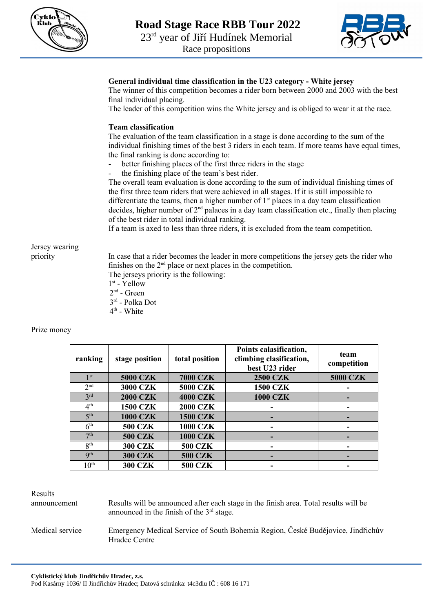



## **General individual time classification in the U23 category - White jersey**

The winner of this competition becomes a rider born between 2000 and 2003 with the best final individual placing.

The leader of this competition wins the White jersey and is obliged to wear it at the race.

## **Team classification**

The evaluation of the team classification in a stage is done according to the sum of the individual finishing times of the best 3 riders in each team. If more teams have equal times, the final ranking is done according to:

- better finishing places of the first three riders in the stage
- the finishing place of the team's best rider.

The overall team evaluation is done according to the sum of individual finishing times of the first three team riders that were achieved in all stages. If it is still impossible to differentiate the teams, then a higher number of  $1<sup>st</sup>$  places in a day team classification decides, higher number of  $2<sup>nd</sup>$  palaces in a day team classification etc., finally then placing of the best rider in total individual ranking.

If a team is axed to less than three riders, it is excluded from the team competition.

Jersey wearing

priority In case that a rider becomes the leader in more competitions the jersey gets the rider who finishes on the  $2<sup>nd</sup>$  place or next places in the competition.

- The jerseys priority is the following:
- $1^\mathrm{st}$  Yellow
- $2<sup>nd</sup>$  Green
- 3 rd Polka Dot 4<sup>th</sup> - White

Prize money

| ranking                  | stage position  | total position  | Points calasification,<br>climbing clasification,<br>best U23 rider | team<br>competition |
|--------------------------|-----------------|-----------------|---------------------------------------------------------------------|---------------------|
| 1 <sup>st</sup>          | <b>5000 CZK</b> | <b>7000 CZK</b> | <b>2500 CZK</b>                                                     | <b>5000 CZK</b>     |
| 2 <sub>nd</sub>          | <b>3000 CZK</b> | <b>5000 CZK</b> | <b>1500 CZK</b>                                                     |                     |
| 3 <sup>rd</sup>          | <b>2000 CZK</b> | <b>4000 CZK</b> | <b>1000 CZK</b>                                                     |                     |
| 4 <sup>th</sup>          | <b>1500 CZK</b> | <b>2000 CZK</b> |                                                                     |                     |
| 5 <sup>th</sup>          | <b>1000 CZK</b> | <b>1500 CZK</b> |                                                                     |                     |
| 6 <sup>th</sup>          | <b>500 CZK</b>  | <b>1000 CZK</b> |                                                                     |                     |
| 7 <sup>th</sup>          | <b>500 CZK</b>  | <b>1000 CZK</b> |                                                                     |                     |
| 8 <sup>th</sup>          | <b>300 CZK</b>  | <b>500 CZK</b>  |                                                                     |                     |
| $\mathbf{Q}^{\text{th}}$ | <b>300 CZK</b>  | <b>500 CZK</b>  |                                                                     |                     |
| $10^{\text{th}}$         | <b>300 CZK</b>  | <b>500 CZK</b>  |                                                                     |                     |

Results

announcement Results will be announced after each stage in the finish area. Total results will be announced in the finish of the  $3<sup>rd</sup>$  stage.

Medical service Emergency Medical Service of South Bohemia Region, České Budějovice, Jindřichův Hradec Centre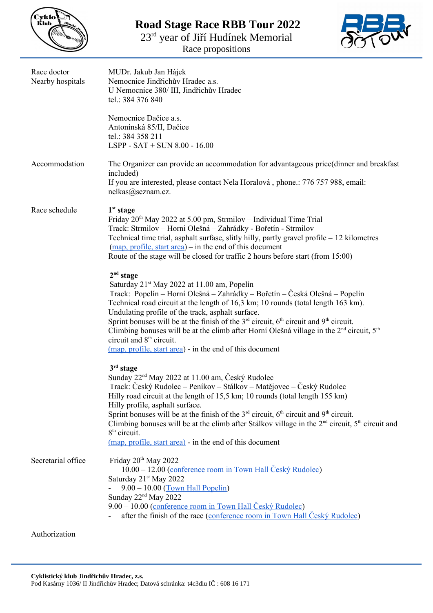

**Road Stage Race RBB Tour 2022**

23<sup>rd</sup> year of Jiří Hudínek Memorial

Race propositions



| Race doctor<br>Nearby hospitals | MUDr. Jakub Jan Hájek<br>Nemocnice Jindřichův Hradec a.s.<br>U Nemocnice 380/ III, Jindřichův Hradec<br>tel.: 384 376 840                                                                                                                                                                                                                                                                                                                                                                                                                                                                                                                 |  |  |
|---------------------------------|-------------------------------------------------------------------------------------------------------------------------------------------------------------------------------------------------------------------------------------------------------------------------------------------------------------------------------------------------------------------------------------------------------------------------------------------------------------------------------------------------------------------------------------------------------------------------------------------------------------------------------------------|--|--|
|                                 | Nemocnice Dačice a.s.<br>Antonínská 85/II, Dačice<br>tel.: 384 358 211<br>$LSPP - SAT + SUN 8.00 - 16.00$                                                                                                                                                                                                                                                                                                                                                                                                                                                                                                                                 |  |  |
| Accommodation                   | The Organizer can provide an accommodation for advantageous price(dinner and breakfast<br>included)<br>If you are interested, please contact Nela Horalová, phone.: 776 757 988, email:<br>nelkas@seznam.cz.                                                                                                                                                                                                                                                                                                                                                                                                                              |  |  |
| Race schedule                   | 1 <sup>st</sup> stage<br>Friday $20th$ May 2022 at 5.00 pm, Strmilov – Individual Time Trial<br>Track: Strmilov - Horni Olešná - Zahrádky - Bořetín - Strmilov<br>Technical time trial, asphalt surfase, slitly hilly, partly gravel profile – 12 kilometres<br>$(\underline{map}, \underline{profile}, \underline{start} \underline{area})$ - in the end of this document<br>Route of the stage will be closed for traffic 2 hours before start (from 15:00)                                                                                                                                                                             |  |  |
|                                 | 2 <sup>nd</sup> stage<br>Saturday 21 <sup>st</sup> May 2022 at 11.00 am, Popelín<br>Track: Popelín – Horní Olešná – Zahrádky – Bořetín – Česká Olešná – Popelín<br>Technical road circuit at the length of 16,3 km; 10 rounds (total length 163 km).<br>Undulating profile of the track, asphalt surface.<br>Sprint bonuses will be at the finish of the $3^{rd}$ circuit, $6^{th}$ circuit and $9^{th}$ circuit.<br>Climbing bonuses will be at the climb after Horní Olešná village in the 2 <sup>nd</sup> circuit, 5 <sup>th</sup><br>circuit and 8 <sup>th</sup> circuit.<br>(map, profile, start area) - in the end of this document |  |  |
|                                 | $3rd$ stage<br>Sunday 22 <sup>nd</sup> May 2022 at 11.00 am, Český Rudolec<br>Track: Český Rudolec – Peníkov – Stálkov – Matějovec – Český Rudolec<br>Hilly road circuit at the length of 15,5 km; 10 rounds (total length 155 km)<br>Hilly profile, asphalt surface.<br>Sprint bonuses will be at the finish of the $3rd$ circuit, $6th$ circuit and $9th$ circuit.<br>Climbing bonuses will be at the climb after Stálkov village in the $2nd$ circuit, $5th$ circuit and<br>$8th$ circuit.<br>(map, profile, start area) - in the end of this document                                                                                 |  |  |
| Secretarial office              | Friday 20 <sup>th</sup> May 2022<br>10.00 – 12.00 (conference room in Town Hall Český Rudolec)<br>Saturday 21 <sup>st</sup> May 2022<br>$9.00 - 10.00$ (Town Hall Popelín)<br>Sunday 22 <sup>nd</sup> May 2022<br>9.00 – 10.00 (conference room in Town Hall Český Rudolec)<br>after the finish of the race (conference room in Town Hall Český Rudolec)                                                                                                                                                                                                                                                                                  |  |  |
| Authorization                   |                                                                                                                                                                                                                                                                                                                                                                                                                                                                                                                                                                                                                                           |  |  |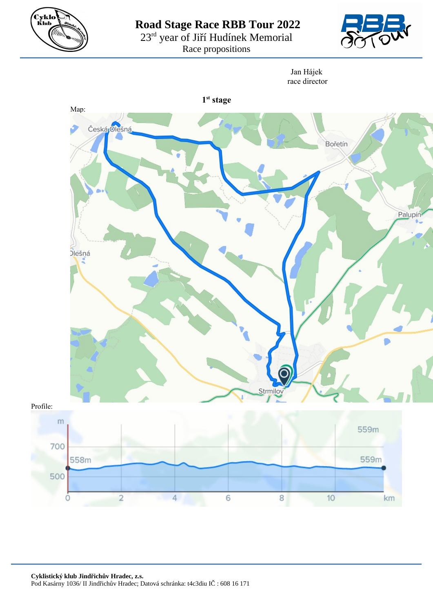

**Road Stage Race RBB Tour 2022**

23<sup>rd</sup> year of Jiří Hudínek Memorial

Race propositions



Jan Hájek race director

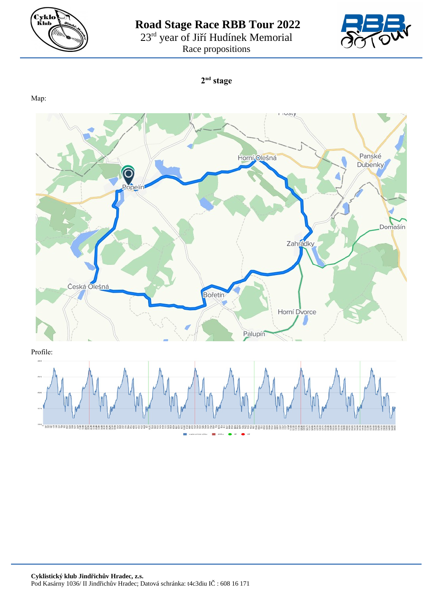

**Road Stage Race RBB Tour 2022** 23<sup>rd</sup> year of Jiří Hudínek Memorial Race propositions



**2 nd stage**

Map: